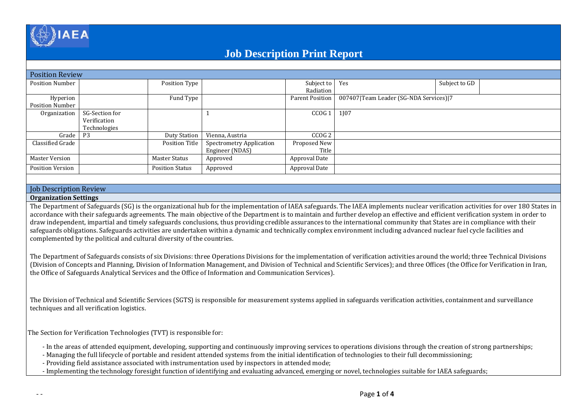

# **Job Description Print Report**

| <b>Position Review</b>  |                |                        |                                 |                   |                                        |               |  |  |  |
|-------------------------|----------------|------------------------|---------------------------------|-------------------|----------------------------------------|---------------|--|--|--|
| <b>Position Number</b>  |                | Position Type          |                                 | Subject to Yes    |                                        | Subject to GD |  |  |  |
|                         |                |                        |                                 | Radiation         |                                        |               |  |  |  |
| Hyperion                |                | Fund Type              |                                 | Parent Position   | 007407 Team Leader (SG-NDA Services) 7 |               |  |  |  |
| Position Number         |                |                        |                                 |                   |                                        |               |  |  |  |
| Organization            | SG-Section for |                        |                                 | $CCOG 1$ 1J07     |                                        |               |  |  |  |
|                         | Verification   |                        |                                 |                   |                                        |               |  |  |  |
|                         | Technologies   |                        |                                 |                   |                                        |               |  |  |  |
| Grade                   | <b>P3</b>      | <b>Duty Station</b>    | Vienna, Austria                 | CCOG <sub>2</sub> |                                        |               |  |  |  |
| Classified Grade        |                | <b>Position Title</b>  | <b>Spectrometry Application</b> | Proposed New      |                                        |               |  |  |  |
|                         |                |                        | Engineer (NDAS)                 | Title             |                                        |               |  |  |  |
| <b>Master Version</b>   |                | <b>Master Status</b>   | Approved                        | Approval Date     |                                        |               |  |  |  |
| <b>Position Version</b> |                | <b>Position Status</b> | Approved                        | Approval Date     |                                        |               |  |  |  |
|                         |                |                        |                                 |                   |                                        |               |  |  |  |

## Job Description Review

### **Organization Settings**

The Department of Safeguards (SG) is the organizational hub for the implementation of IAEA safeguards. The IAEA implements nuclear verification activities for over 180 States in accordance with their safeguards agreements. The main objective of the Department is to maintain and further develop an effective and efficient verification system in order to draw independent, impartial and timely safeguards conclusions, thus providing credible assurances to the international community that States are in compliance with their safeguards obligations. Safeguards activities are undertaken within a dynamic and technically complex environment including advanced nuclear fuel cycle facilities and complemented by the political and cultural diversity of the countries.

The Department of Safeguards consists of six Divisions: three Operations Divisions for the implementation of verification activities around the world; three Technical Divisions (Division of Concepts and Planning, Division of Information Management, and Division of Technical and Scientific Services); and three Offices (the Office for Verification in Iran, the Office of Safeguards Analytical Services and the Office of Information and Communication Services).

The Division of Technical and Scientific Services (SGTS) is responsible for measurement systems applied in safeguards verification activities, containment and surveillance techniques and all verification logistics.

The Section for Verification Technologies (TVT) is responsible for:

- In the areas of attended equipment, developing, supporting and continuously improving services to operations divisions through the creation of strong partnerships;

- Managing the full lifecycle of portable and resident attended systems from the initial identification of technologies to their full decommissioning;

- Providing field assistance associated with instrumentation used by inspectors in attended mode;

- Implementing the technology foresight function of identifying and evaluating advanced, emerging or novel, technologies suitable for IAEA safeguards;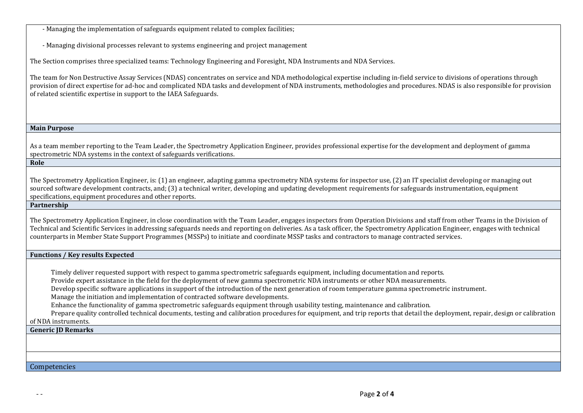- Managing the implementation of safeguards equipment related to complex facilities;

- Managing divisional processes relevant to systems engineering and project management

The Section comprises three specialized teams: Technology Engineering and Foresight, NDA Instruments and NDA Services.

The team for Non Destructive Assay Services (NDAS) concentrates on service and NDA methodological expertise including in-field service to divisions of operations through provision of direct expertise for ad-hoc and complicated NDA tasks and development of NDA instruments, methodologies and procedures. NDAS is also responsible for provision of related scientific expertise in support to the IAEA Safeguards.

#### **Main Purpose**

As a team member reporting to the Team Leader, the Spectrometry Application Engineer, provides professional expertise for the development and deployment of gamma spectrometric NDA systems in the context of safeguards verifications.

**Role**

The Spectrometry Application Engineer, is: (1) an engineer, adapting gamma spectrometry NDA systems for inspector use, (2) an IT specialist developing or managing out sourced software development contracts, and; (3) a technical writer, developing and updating development requirements for safeguards instrumentation, equipment specifications, equipment procedures and other reports.

## **Partnership**

The Spectrometry Application Engineer, in close coordination with the Team Leader, engages inspectors from Operation Divisions and staff from other Teams in the Division of Technical and Scientific Services in addressing safeguards needs and reporting on deliveries. As a task officer, the Spectrometry Application Engineer, engages with technical counterparts in Member State Support Programmes (MSSPs) to initiate and coordinate MSSP tasks and contractors to manage contracted services.

## **Functions / Key results Expected**

Timely deliver requested support with respect to gamma spectrometric safeguards equipment, including documentation and reports.

Provide expert assistance in the field for the deployment of new gamma spectrometric NDA instruments or other NDA measurements.

Develop specific software applications in support of the introduction of the next generation of room temperature gamma spectrometric instrument.

Manage the initiation and implementation of contracted software developments.

Enhance the functionality of gamma spectrometric safeguards equipment through usability testing, maintenance and calibration.

Prepare quality controlled technical documents, testing and calibration procedures for equipment, and trip reports that detail the deployment, repair, design or calibration of NDA instruments.

#### **Generic JD Remarks**

#### Competencies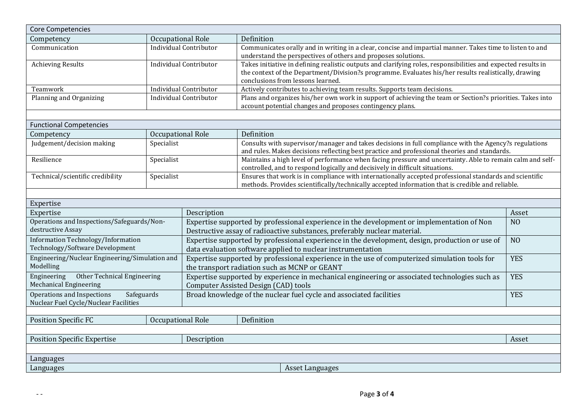| <b>Core Competencies</b>                                       |                   |                                                                                                              |                                                                                                                                                                                                            |  |  |  |  |  |
|----------------------------------------------------------------|-------------------|--------------------------------------------------------------------------------------------------------------|------------------------------------------------------------------------------------------------------------------------------------------------------------------------------------------------------------|--|--|--|--|--|
| Competency                                                     |                   | Occupational Role                                                                                            | Definition                                                                                                                                                                                                 |  |  |  |  |  |
| Communication                                                  |                   | <b>Individual Contributor</b>                                                                                | Communicates orally and in writing in a clear, concise and impartial manner. Takes time to listen to and                                                                                                   |  |  |  |  |  |
|                                                                |                   |                                                                                                              | understand the perspectives of others and proposes solutions.                                                                                                                                              |  |  |  |  |  |
| <b>Achieving Results</b>                                       |                   | <b>Individual Contributor</b>                                                                                | Takes initiative in defining realistic outputs and clarifying roles, responsibilities and expected results in                                                                                              |  |  |  |  |  |
|                                                                |                   |                                                                                                              | the context of the Department/Division?s programme. Evaluates his/her results realistically, drawing                                                                                                       |  |  |  |  |  |
|                                                                |                   |                                                                                                              | conclusions from lessons learned.                                                                                                                                                                          |  |  |  |  |  |
| <b>Individual Contributor</b><br>Teamwork                      |                   |                                                                                                              | Actively contributes to achieving team results. Supports team decisions.                                                                                                                                   |  |  |  |  |  |
| Planning and Organizing                                        |                   | <b>Individual Contributor</b>                                                                                | Plans and organizes his/her own work in support of achieving the team or Section?s priorities. Takes into                                                                                                  |  |  |  |  |  |
|                                                                |                   |                                                                                                              | account potential changes and proposes contingency plans.                                                                                                                                                  |  |  |  |  |  |
|                                                                |                   |                                                                                                              |                                                                                                                                                                                                            |  |  |  |  |  |
| <b>Functional Competencies</b>                                 |                   |                                                                                                              |                                                                                                                                                                                                            |  |  |  |  |  |
| Competency                                                     | Occupational Role |                                                                                                              | Definition                                                                                                                                                                                                 |  |  |  |  |  |
| Judgement/decision making                                      | Specialist        |                                                                                                              | Consults with supervisor/manager and takes decisions in full compliance with the Agency?s regulations                                                                                                      |  |  |  |  |  |
|                                                                |                   |                                                                                                              | and rules. Makes decisions reflecting best practice and professional theories and standards.                                                                                                               |  |  |  |  |  |
| Resilience                                                     | Specialist        |                                                                                                              | Maintains a high level of performance when facing pressure and uncertainty. Able to remain calm and self-                                                                                                  |  |  |  |  |  |
|                                                                |                   |                                                                                                              | controlled, and to respond logically and decisively in difficult situations.                                                                                                                               |  |  |  |  |  |
| Technical/scientific credibility                               | Specialist        |                                                                                                              | Ensures that work is in compliance with internationally accepted professional standards and scientific<br>methods. Provides scientifically/technically accepted information that is credible and reliable. |  |  |  |  |  |
|                                                                |                   |                                                                                                              |                                                                                                                                                                                                            |  |  |  |  |  |
|                                                                |                   |                                                                                                              |                                                                                                                                                                                                            |  |  |  |  |  |
| Expertise<br>Expertise                                         |                   |                                                                                                              |                                                                                                                                                                                                            |  |  |  |  |  |
| Operations and Inspections/Safeguards/Non-                     |                   | Description<br>Asset                                                                                         |                                                                                                                                                                                                            |  |  |  |  |  |
| destructive Assay                                              |                   | Expertise supported by professional experience in the development or implementation of Non<br>N <sub>O</sub> |                                                                                                                                                                                                            |  |  |  |  |  |
|                                                                |                   |                                                                                                              | Destructive assay of radioactive substances, preferably nuclear material.                                                                                                                                  |  |  |  |  |  |
| Information Technology/Information                             |                   |                                                                                                              | Expertise supported by professional experience in the development, design, production or use of<br>N <sub>O</sub>                                                                                          |  |  |  |  |  |
| Technology/Software Development                                |                   |                                                                                                              | data evaluation software applied to nuclear instrumentation                                                                                                                                                |  |  |  |  |  |
| Engineering/Nuclear Engineering/Simulation and                 |                   | Expertise supported by professional experience in the use of computerized simulation tools for<br><b>YES</b> |                                                                                                                                                                                                            |  |  |  |  |  |
| Modelling                                                      |                   | the transport radiation such as MCNP or GEANT                                                                |                                                                                                                                                                                                            |  |  |  |  |  |
| Other Technical Engineering<br>Engineering                     |                   | Expertise supported by experience in mechanical engineering or associated technologies such as<br><b>YES</b> |                                                                                                                                                                                                            |  |  |  |  |  |
| <b>Mechanical Engineering</b>                                  |                   | <b>Computer Assisted Design (CAD) tools</b>                                                                  |                                                                                                                                                                                                            |  |  |  |  |  |
| Operations and Inspections<br>Safeguards                       |                   | Broad knowledge of the nuclear fuel cycle and associated facilities<br><b>YES</b>                            |                                                                                                                                                                                                            |  |  |  |  |  |
| Nuclear Fuel Cycle/Nuclear Facilities                          |                   |                                                                                                              |                                                                                                                                                                                                            |  |  |  |  |  |
|                                                                |                   |                                                                                                              |                                                                                                                                                                                                            |  |  |  |  |  |
| Occupational Role<br><b>Position Specific FC</b><br>Definition |                   |                                                                                                              |                                                                                                                                                                                                            |  |  |  |  |  |
|                                                                |                   |                                                                                                              |                                                                                                                                                                                                            |  |  |  |  |  |
| <b>Position Specific Expertise</b>                             |                   | Description<br>Asset                                                                                         |                                                                                                                                                                                                            |  |  |  |  |  |
|                                                                |                   |                                                                                                              |                                                                                                                                                                                                            |  |  |  |  |  |
| Languages                                                      |                   |                                                                                                              |                                                                                                                                                                                                            |  |  |  |  |  |
| Languages<br>Asset Languages                                   |                   |                                                                                                              |                                                                                                                                                                                                            |  |  |  |  |  |